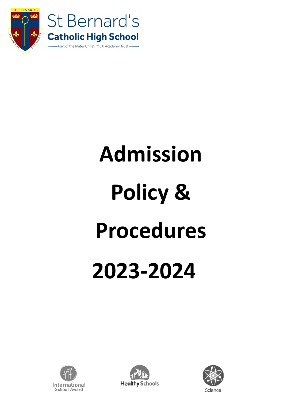



# **Admission Policy & Procedures 2023-2024**





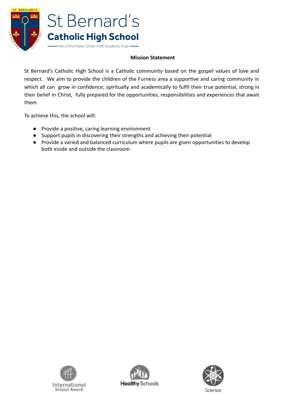

# **Mission Statement**

St Bernard's Catholic High School is a Catholic community based on the gospel values of love and respect. We aim to provide the children of the Furness area a supportive and caring community in which all can grow in confidence; spiritually and academically to fulfil their true potential, strong in their belief in Christ, fully prepared for the opportunities, responsibilities and experiences that await them.

To achieve this, the school will:

- Provide a positive, caring learning environment
- Support pupils in discovering their strengths and achieving their potential
- Provide a varied and balanced curriculum where pupils are given opportunities to develop both inside and outside the classroom





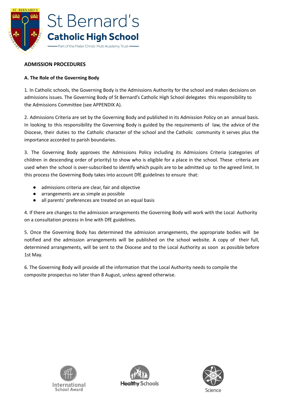

# **ADMISSION PROCEDURES**

# **A. The Role of the Governing Body**

1. In Catholic schools, the Governing Body is the Admissions Authority for the school and makes decisions on admissions issues. The Governing Body of St Bernard's Catholic High School delegates this responsibility to the Admissions Committee (see APPENDIX A).

2. Admissions Criteria are set by the Governing Body and published in its Admission Policy on an annual basis. In looking to this responsibility the Governing Body is guided by the requirements of law, the advice of the Diocese, their duties to the Catholic character of the school and the Catholic community it serves plus the importance accorded to parish boundaries.

3. The Governing Body approves the Admissions Policy including its Admissions Criteria (categories of children in descending order of priority) to show who is eligible for a place in the school. These criteria are used when the school is over-subscribed to identify which pupils are to be admitted up to the agreed limit. In this process the Governing Body takes into account DfE guidelines to ensure that:

- admissions criteria are clear, fair and objective
- arrangements are as simple as possible
- all parents' preferences are treated on an equal basis

4. If there are changes to the admission arrangements the Governing Body will work with the Local Authority on a consultation process in line with DfE guidelines.

5. Once the Governing Body has determined the admission arrangements, the appropriate bodies will be notified and the admission arrangements will be published on the school website. A copy of their full, determined arrangements, will be sent to the Diocese and to the Local Authority as soon as possible before 1st May.

6. The Governing Body will provide all the information that the Local Authority needs to compile the composite prospectus no later than 8 August, unless agreed otherwise.





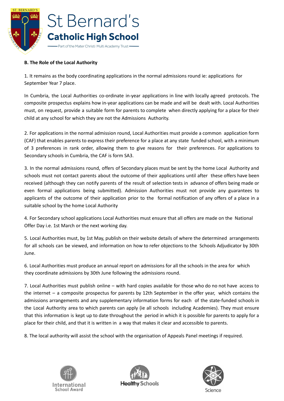

# **B. The Role of the Local Authority**

1. It remains as the body coordinating applications in the normal admissions round ie: applications for September Year 7 place.

In Cumbria, the Local Authorities co-ordinate in-year applications in line with locally agreed protocols. The composite prospectus explains how in-year applications can be made and will be dealt with. Local Authorities must, on request, provide a suitable form for parents to complete when directly applying for a place for their child at any school for which they are not the Admissions Authority.

2. For applications in the normal admission round, Local Authorities must provide a common application form (CAF) that enables parents to express their preference for a place at any state funded school, with a minimum of 3 preferences in rank order, allowing them to give reasons for their preferences. For applications to Secondary schools in Cumbria, the CAF is form SA3.

3. In the normal admissions round, offers of Secondary places must be sent by the home Local Authority and schools must not contact parents about the outcome of their applications until after these offers have been received (although they can notify parents of the result of selection tests in advance of offers being made or even formal applications being submitted). Admission Authorities must not provide any guarantees to applicants of the outcome of their application prior to the formal notification of any offers of a place in a suitable school by the home Local Authority

4. For Secondary school applications Local Authorities must ensure that all offers are made on the National Offer Day i.e. 1st March or the next working day.

5. Local Authorities must, by 1st May, publish on their website details of where the determined arrangements for all schools can be viewed, and information on how to refer objections to the Schools Adjudicator by 30th June.

6. Local Authorities must produce an annual report on admissions for all the schools in the area for which they coordinate admissions by 30th June following the admissions round.

7. Local Authorities must publish online – with hard copies available for those who do no not have access to the internet – a composite prospectus for parents by 12th September in the offer year, which contains the admissions arrangements and any supplementary information forms for each of the state-funded schools in the Local Authority area to which parents can apply (ie all schools including Academies). They must ensure that this information is kept up to date throughout the period in which it is possible for parents to apply for a place for their child, and that it is written in a way that makes it clear and accessible to parents.

8. The local authority will assist the school with the organisation of Appeals Panel meetings if required.





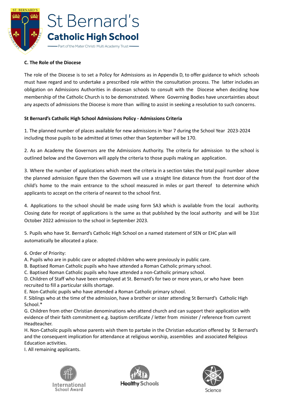

#### **C. The Role of the Diocese**

The role of the Diocese is to set a Policy for Admissions as in Appendix D, to offer guidance to which schools must have regard and to undertake a prescribed role within the consultation process. The latter includes an obligation on Admissions Authorities in diocesan schools to consult with the Diocese when deciding how membership of the Catholic Church is to be demonstrated. Where Governing Bodies have uncertainties about any aspects of admissions the Diocese is more than willing to assist in seeking a resolution to such concerns.

#### **St Bernard's Catholic High School Admissions Policy - Admissions Criteria**

1. The planned number of places available for new admissions in Year 7 during the School Year 2023-2024 including those pupils to be admitted at times other than September will be 170.

2. As an Academy the Governors are the Admissions Authority. The criteria for admission to the school is outlined below and the Governors will apply the criteria to those pupils making an application.

3. Where the number of applications which meet the criteria in a section takes the total pupil number above the planned admission figure then the Governors will use a straight line distance from the front door of the child's home to the main entrance to the school measured in miles or part thereof to determine which applicants to accept on the criteria of nearest to the school first.

4. Applications to the school should be made using form SA3 which is available from the local authority. Closing date for receipt of applications is the same as that published by the local authority and will be 31st October 2022 admission to the school in September 2023.

5. Pupils who have St. Bernard's Catholic High School on a named statement of SEN or EHC plan will automatically be allocated a place.

- 6. Order of Priority:
- A. Pupils who are in public care or adopted children who were previously in public care.
- B. Baptised Roman Catholic pupils who have attended a Roman Catholic primary school.
- C. Baptised Roman Catholic pupils who have attended a non-Catholic primary school.

D. Children of Staff who have been employed at St. Bernard's for two or more years, or who have been recruited to fill a particular skills shortage.

E. Non-Catholic pupils who have attended a Roman Catholic primary school.

F. Siblings who at the time of the admission, have a brother or sister attending St Bernard's Catholic High School.\*

G. Children from other Christian denominations who attend church and can support their application with evidence of their faith commitment e.g. baptism certificate / letter from minister / reference from current Headteacher.

H. Non-Catholic pupils whose parents wish them to partake in the Christian education offered by St Bernard's and the consequent implication for attendance at religious worship, assemblies and associated Religious Education activities.

I. All remaining applicants.





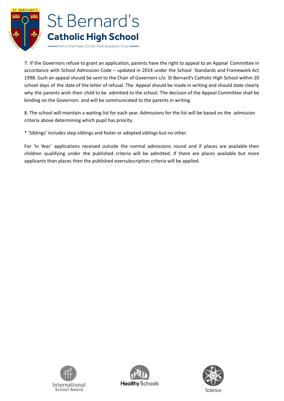

7. If the Governors refuse to grant an application, parents have the right to appeal to an Appeal Committee in accordance with School Admission Code – updated in 2014 under the School Standards and Framework Act 1998. Such an appeal should be sent to the Chair of Governors c/o St Bernard's Catholic High School within 20 school days of the date of the letter of refusal. The Appeal should be made in writing and should state clearly why the parents wish their child to be admitted to the school. The decision of the Appeal Committee shall be binding on the Governors and will be communicated to the parents in writing.

8. The school will maintain a waiting list for each year. Admissions for the list will be based on the admission criteria above determining which pupil has priority.

\* 'Siblings' includes step-siblings and foster or adopted siblings but no other.

For 'In Year' applications received outside the normal admissions round and if places are available then children qualifying under the published criteria will be admitted. If there are places available but more applicants than places then the published oversubscription criteria will be applied.





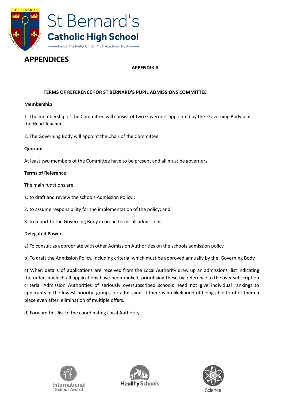

# **APPENDICES**

# **APPENDIX A**

# **TERMS OF REFERENCE FOR ST BERNARD'S PUPIL ADMISSIONS COMMITTEE**

#### **Membership**

1. The membership of the Committee will consist of two Governors appointed by the Governing Body plus the Head Teacher.

2. The Governing Body will appoint the Chair of the Committee.

#### **Quorum**

At least two members of the Committee have to be present and all must be governors.

#### **Terms of Reference**

The main functions are:

- 1. to draft and review the schools Admission Policy :
- 2. to assume responsibility for the implementation of the policy; and
- 3. to report to the Governing Body in broad terms all admissions.

#### **Delegated Powers**

a) To consult as appropriate with other Admission Authorities on the schools admission policy.

b) To draft the Admission Policy, including criteria, which must be approved annually by the Governing Body.

c) When details of applications are received from the Local Authority draw up an admissions list indicating the order in which all applications have been ranked, prioritising these by reference to the over subscription criteria. Admission Authorities of seriously oversubscribed schools need not give individual rankings to applicants in the lowest priority groups for admission, if there is no likelihood of being able to offer them a place even after elimination of multiple offers.

d) Forward this list to the coordinating Local Authority.





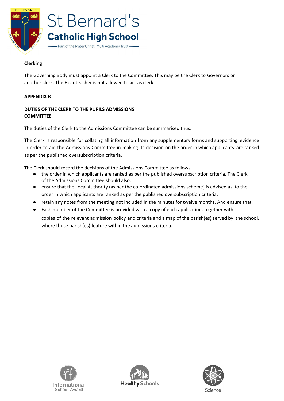

#### **Clerking**

The Governing Body must appoint a Clerk to the Committee. This may be the Clerk to Governors or another clerk. The Headteacher is not allowed to act as clerk.

#### **APPENDIX B**

#### **DUTIES OF THE CLERK TO THE PUPILS ADMISSIONS COMMITTEE**

The duties of the Clerk to the Admissions Committee can be summarised thus:

The Clerk is responsible for collating all information from any supplementary forms and supporting evidence in order to aid the Admissions Committee in making its decision on the order in which applicants are ranked as per the published oversubscription criteria.

The Clerk should record the decisions of the Admissions Committee as follows:

- the order in which applicants are ranked as per the published oversubscription criteria. The Clerk of the Admissions Committee should also:
- ensure that the Local Authority (as per the co-ordinated admissions scheme) is advised as to the order in which applicants are ranked as per the published oversubscription criteria.
- retain any notes from the meeting not included in the minutes for twelve months. And ensure that:
- Each member of the Committee is provided with a copy of each application, together with copies of the relevant admission policy and criteria and a map of the parish(es) served by the school, where those parish(es) feature within the admissions criteria.





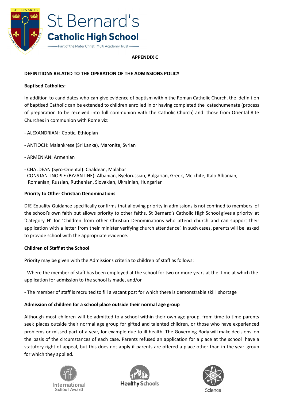

#### **APPENDIX C**

# **DEFINITIONS RELATED TO THE OPERATION OF THE ADMISSIONS POLICY**

#### **Baptised Catholics:**

In addition to candidates who can give evidence of baptism within the Roman Catholic Church, the definition of baptised Catholic can be extended to children enrolled in or having completed the catechumenate (process of preparation to be received into full communion with the Catholic Church) and those from Oriental Rite Churches in communion with Rome viz:

- ALEXANDRIAN : Coptic, Ethiopian
- ANTIOCH: Malankrese (Sri Lanka), Maronite, Syrian
- ARMENIAN: Armenian
- CHALDEAN (Syro-Oriental): Chaldean, Malabar
- CONSTANTINOPLE (BYZANTINE): Albanian, Byelorussian, Bulgarian, Greek, Melchite, Italo Albanian, Romanian, Russian, Ruthenian, Slovakian, Ukrainian, Hungarian

#### **Priority to Other Christian Denominations**

DfE Equality Guidance specifically confirms that allowing priority in admissions is not confined to members of the school's own faith but allows priority to other faiths. St Bernard's Catholic High School gives a priority at 'Category H' for 'Children from other Christian Denominations who attend church and can support their application with a letter from their minister verifying church attendance'. In such cases, parents will be asked to provide school with the appropriate evidence.

#### **Children of Staff at the School**

Priority may be given with the Admissions criteria to children of staff as follows:

- Where the member of staff has been employed at the school for two or more years at the time at which the application for admission to the school is made, and/or

- The member of staff is recruited to fill a vacant post for which there is demonstrable skill shortage

#### **Admission of children for a school place outside their normal age group**

Although most children will be admitted to a school within their own age group, from time to time parents seek places outside their normal age group for gifted and talented children, or those who have experienced problems or missed part of a year, for example due to ill health. The Governing Body will make decisions on the basis of the circumstances of each case. Parents refused an application for a place at the school have a statutory right of appeal, but this does not apply if parents are offered a place other than in the year group for which they applied.